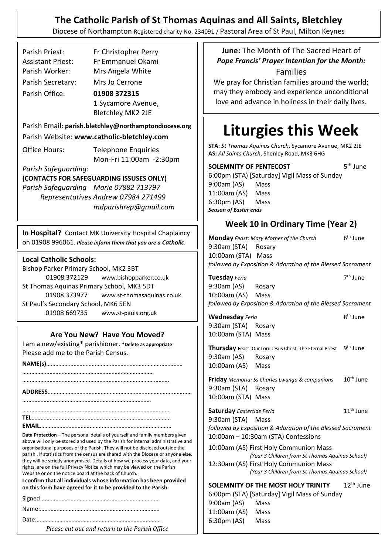# **The Catholic Parish of St Thomas Aquinas and All Saints, Bletchley**

Diocese of Northampton Registered charity No. 234091 / Pastoral Area of St Paul, Milton Keynes

| Parish Priest:           | Fr Christopher Perry |  |
|--------------------------|----------------------|--|
| <b>Assistant Priest:</b> | Fr Emmanuel Okami    |  |
| Parish Worker:           | Mrs Angela White     |  |
| Parish Secretary:        | Mrs Jo Cerrone       |  |
| Parish Office:           | 01908 372315         |  |
|                          | 1 Sycamore Avenue,   |  |
|                          | Bletchley MK2 2JE    |  |

Parish Email: **[parish.bletchley@](mailto:parish.bletchley@)northamptondiocese.org**

Parish Website: **www.catholic-bletchley.com**

Office Hours: Telephone Enquiries Mon-Fri 11:00am -2:30pm

*Parish Safeguarding:*

**(CONTACTS FOR SAFEGUARDING ISSUSES ONLY)**

*Parish Safeguarding Marie 07882 713797 Representatives Andrew 07984 271499 [mdparishrep@gmail.com](mailto:mdparishrep@gmail.com)*

**In Hospital?** Contact MK University Hospital Chaplaincy on 01908 996061. *Please inform them that you are a Catholic*.

#### **Local Catholic Schools:**

Bishop Parker Primary School, MK2 3BT 01908 372129 www.bishopparker.co.uk St Thomas Aquinas Primary School, MK3 5DT 01908 373977 www.st-thomasaquinas.co.uk St Paul's Secondary School, MK6 5EN 01908 669735 www.st-pauls.org.uk

#### **Are You New? Have You Moved?**

I am a new/existing**\*** parishioner. **\*Delete as appropriate** Please add me to the Parish Census.

**Data Protection** – The personal details of yourself and family members given above will only be stored and used by the Parish for internal administrative and organisational purposes of the Parish. They will not be disclosed outside the parish . If statistics from the census are shared with the Diocese or anyone else, they will be strictly anonymised. Details of how we process your data, and your rights, are on the full Privacy Notice which may be viewed on the Parish Website or on the notice board at the back of Church.

**I confirm that all individuals whose information has been provided on this form have agreed for it to be provided to the Parish:**

Date:……………………………………………………………………….

*Please cut out and return to the Parish Office*

**June:** The Month of The Sacred Heart of *Pope Francis' Prayer Intention for the Month:* Families

We pray for Christian families around the world; may they embody and experience unconditional love and advance in holiness in their daily lives.

# **Liturgies this Week**

**STA:** *St Thomas Aquinas Church*, Sycamore Avenue, MK2 2JE **AS:** *All Saints Church*, Shenley Road, MK3 6HG

**SOLEMNITY OF PENTECOST**  $5<sup>th</sup>$  June 6:00pm (STA) [Saturday] Vigil Mass of Sunday 9:00am (AS) Mass 11:00am (AS) Mass 6:30pm (AS) Mass *Season of Easter ends* 

## **Week 10 in Ordinary Time (Year 2)**

**Monday** *Feast: Mary Mother of the Church* 6  $6<sup>th</sup>$  June 9:30am (STA) Rosary 10:00am (STA) Mass *followed by Exposition & Adoration of the Blessed Sacrament*

**Tuesday** *Feria* 7<sup>th</sup> June 9:30am (AS) Rosary 10:00am (AS) Mass *followed by Exposition & Adoration of the Blessed Sacrament*

th June

**Wednesday** Feria 9:30am (STA) Rosary 10:00am (STA) Mass

Thursday Feast: Our Lord Jesus Christ, The Eternal Priest 9<sup>th</sup> June 9:30am (AS) Rosary 10:00am (AS) Mass

**Friday** *Memoria: Ss Charles Lwanga & companions* 10th June 9:30am (STA) Rosary 10:00am (STA) Mass

**Saturday** *Eastertide Feria* 11<sup>th</sup> June 9:30am (STA) Mass *followed by Exposition & Adoration of the Blessed Sacrament* 10:00am – 10:30am (STA) Confessions

10:00am (AS) First Holy Communion Mass  *(Year 3 Children from St Thomas Aquinas School)* 12:30am (AS) First Holy Communion Mass  *(Year 3 Children from St Thomas Aquinas School)*

**SOLEMNITY OF THE MOST HOLY TRINITY** 12<sup>th</sup> June 6:00pm (STA) [Saturday] Vigil Mass of Sunday 9:00am (AS) Mass 11:00am (AS) Mass 6:30pm (AS) Mass